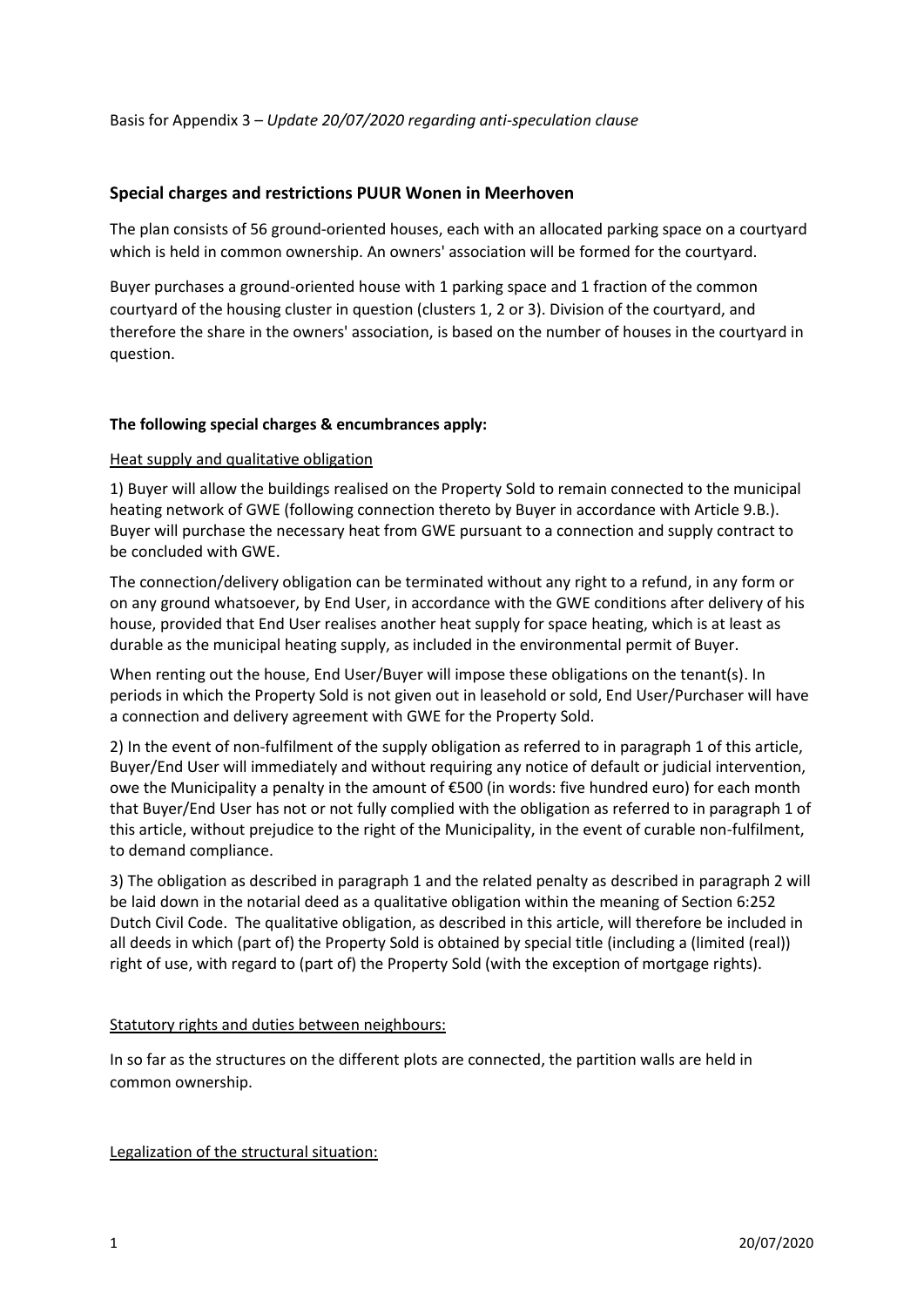## **Special charges and restrictions PUUR Wonen in Meerhoven**

The plan consists of 56 ground-oriented houses, each with an allocated parking space on a courtyard which is held in common ownership. An owners' association will be formed for the courtyard.

Buyer purchases a ground-oriented house with 1 parking space and 1 fraction of the common courtyard of the housing cluster in question (clusters 1, 2 or 3). Division of the courtyard, and therefore the share in the owners' association, is based on the number of houses in the courtyard in question.

#### **The following special charges & encumbrances apply:**

#### Heat supply and qualitative obligation

1) Buyer will allow the buildings realised on the Property Sold to remain connected to the municipal heating network of GWE (following connection thereto by Buyer in accordance with Article 9.B.). Buyer will purchase the necessary heat from GWE pursuant to a connection and supply contract to be concluded with GWE.

The connection/delivery obligation can be terminated without any right to a refund, in any form or on any ground whatsoever, by End User, in accordance with the GWE conditions after delivery of his house, provided that End User realises another heat supply for space heating, which is at least as durable as the municipal heating supply, as included in the environmental permit of Buyer.

When renting out the house, End User/Buyer will impose these obligations on the tenant(s). In periods in which the Property Sold is not given out in leasehold or sold, End User/Purchaser will have a connection and delivery agreement with GWE for the Property Sold.

2) In the event of non-fulfilment of the supply obligation as referred to in paragraph 1 of this article, Buyer/End User will immediately and without requiring any notice of default or judicial intervention, owe the Municipality a penalty in the amount of €500 (in words: five hundred euro) for each month that Buyer/End User has not or not fully complied with the obligation as referred to in paragraph 1 of this article, without prejudice to the right of the Municipality, in the event of curable non-fulfilment, to demand compliance.

3) The obligation as described in paragraph 1 and the related penalty as described in paragraph 2 will be laid down in the notarial deed as a qualitative obligation within the meaning of Section 6:252 Dutch Civil Code. The qualitative obligation, as described in this article, will therefore be included in all deeds in which (part of) the Property Sold is obtained by special title (including a (limited (real)) right of use, with regard to (part of) the Property Sold (with the exception of mortgage rights).

#### Statutory rights and duties between neighbours:

In so far as the structures on the different plots are connected, the partition walls are held in common ownership.

Legalization of the structural situation: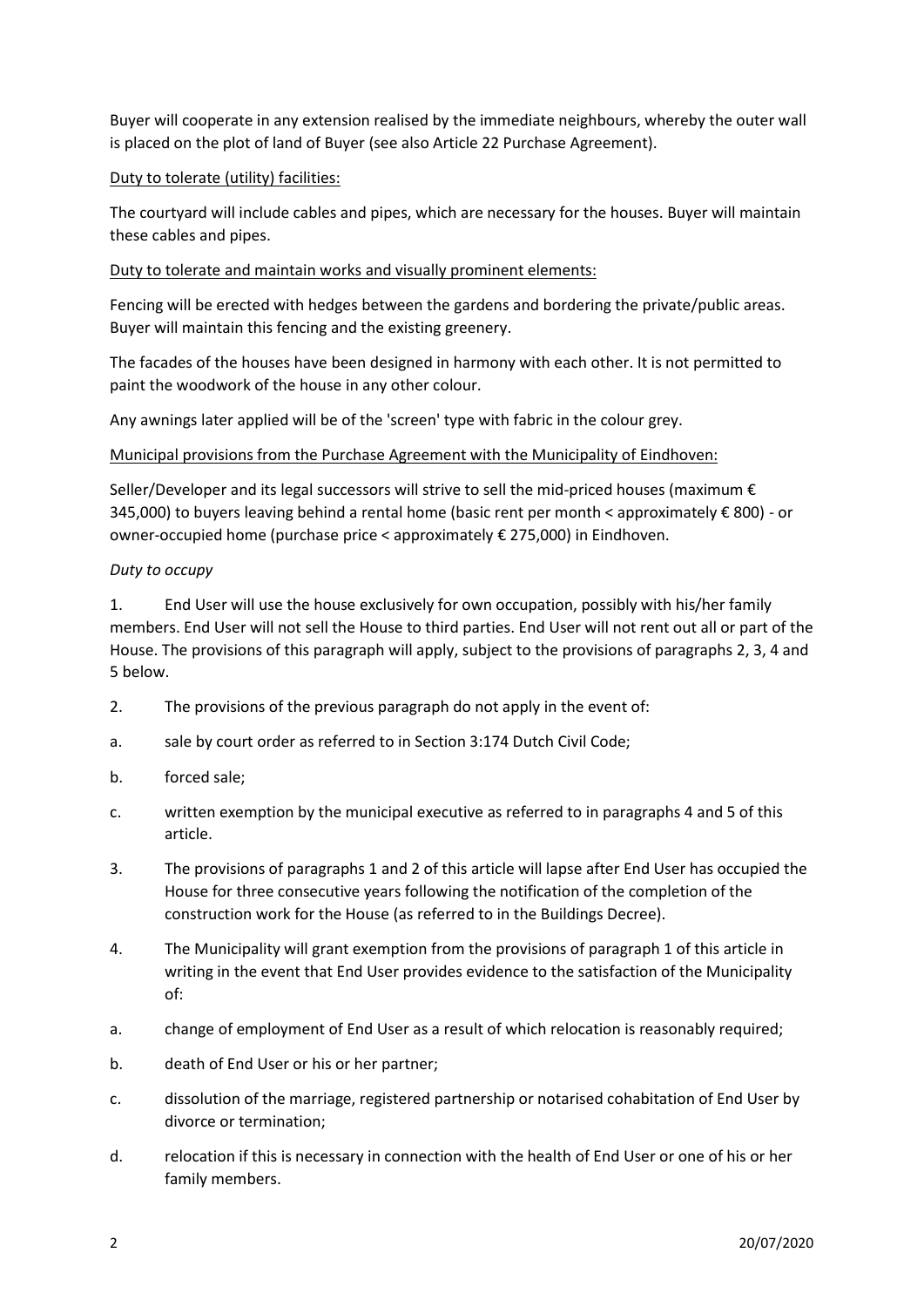Buyer will cooperate in any extension realised by the immediate neighbours, whereby the outer wall is placed on the plot of land of Buyer (see also Article 22 Purchase Agreement).

# Duty to tolerate (utility) facilities:

The courtyard will include cables and pipes, which are necessary for the houses. Buyer will maintain these cables and pipes.

## Duty to tolerate and maintain works and visually prominent elements:

Fencing will be erected with hedges between the gardens and bordering the private/public areas. Buyer will maintain this fencing and the existing greenery.

The facades of the houses have been designed in harmony with each other. It is not permitted to paint the woodwork of the house in any other colour.

Any awnings later applied will be of the 'screen' type with fabric in the colour grey.

# Municipal provisions from the Purchase Agreement with the Municipality of Eindhoven:

Seller/Developer and its legal successors will strive to sell the mid-priced houses (maximum € 345,000) to buyers leaving behind a rental home (basic rent per month < approximately € 800) - or owner-occupied home (purchase price < approximately € 275,000) in Eindhoven.

### *Duty to occupy*

1. End User will use the house exclusively for own occupation, possibly with his/her family members. End User will not sell the House to third parties. End User will not rent out all or part of the House. The provisions of this paragraph will apply, subject to the provisions of paragraphs 2, 3, 4 and 5 below.

- 2. The provisions of the previous paragraph do not apply in the event of:
- a. sale by court order as referred to in Section 3:174 Dutch Civil Code;
- b. forced sale;
- c. written exemption by the municipal executive as referred to in paragraphs 4 and 5 of this article.
- 3. The provisions of paragraphs 1 and 2 of this article will lapse after End User has occupied the House for three consecutive years following the notification of the completion of the construction work for the House (as referred to in the Buildings Decree).
- 4. The Municipality will grant exemption from the provisions of paragraph 1 of this article in writing in the event that End User provides evidence to the satisfaction of the Municipality of:
- a. change of employment of End User as a result of which relocation is reasonably required;
- b. death of End User or his or her partner;
- c. dissolution of the marriage, registered partnership or notarised cohabitation of End User by divorce or termination;
- d. relocation if this is necessary in connection with the health of End User or one of his or her family members.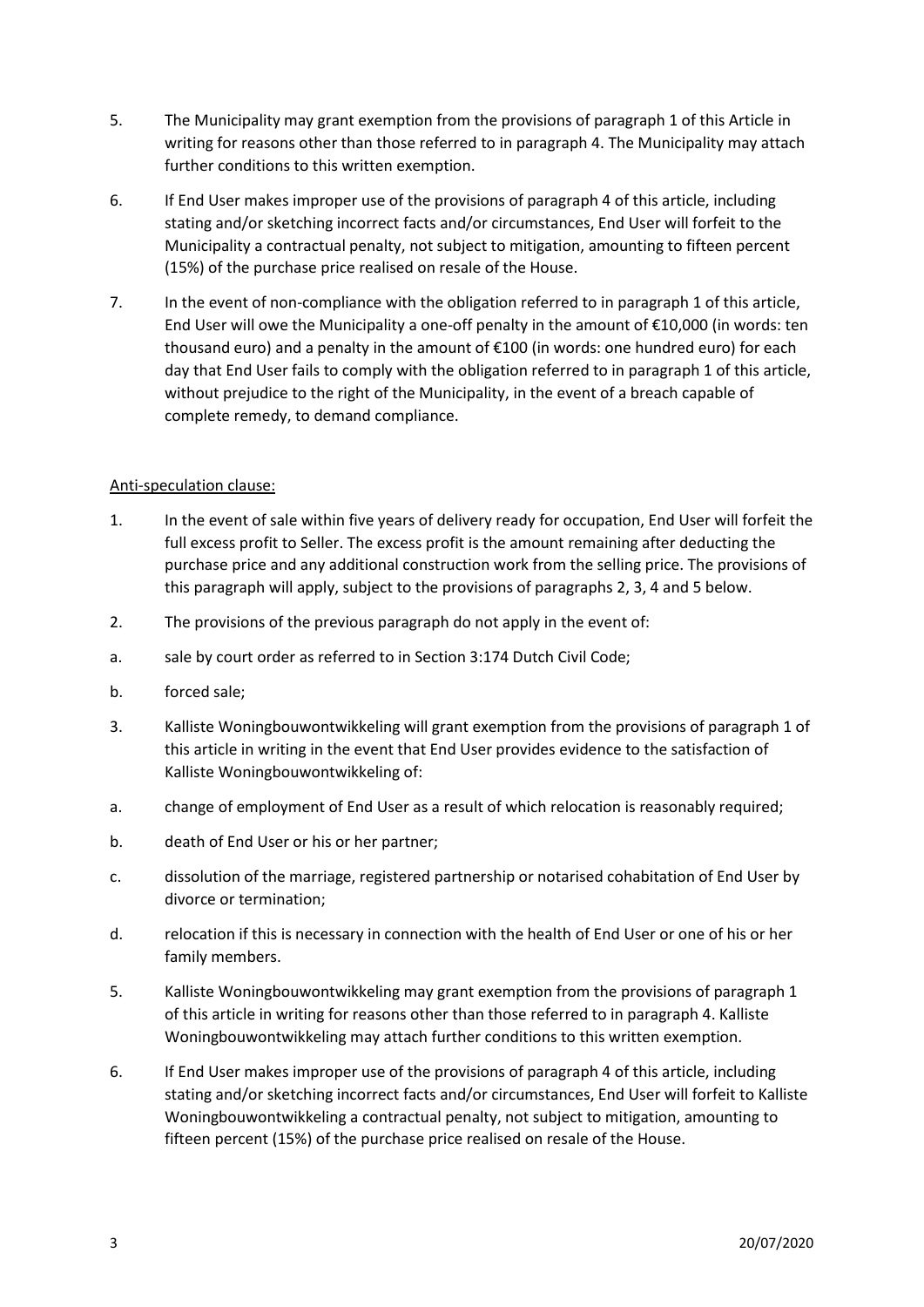- 5. The Municipality may grant exemption from the provisions of paragraph 1 of this Article in writing for reasons other than those referred to in paragraph 4. The Municipality may attach further conditions to this written exemption.
- 6. If End User makes improper use of the provisions of paragraph 4 of this article, including stating and/or sketching incorrect facts and/or circumstances, End User will forfeit to the Municipality a contractual penalty, not subject to mitigation, amounting to fifteen percent (15%) of the purchase price realised on resale of the House.
- 7. In the event of non-compliance with the obligation referred to in paragraph 1 of this article, End User will owe the Municipality a one-off penalty in the amount of €10,000 (in words: ten thousand euro) and a penalty in the amount of  $E100$  (in words: one hundred euro) for each day that End User fails to comply with the obligation referred to in paragraph 1 of this article, without prejudice to the right of the Municipality, in the event of a breach capable of complete remedy, to demand compliance.

# Anti-speculation clause:

- 1. In the event of sale within five years of delivery ready for occupation, End User will forfeit the full excess profit to Seller. The excess profit is the amount remaining after deducting the purchase price and any additional construction work from the selling price. The provisions of this paragraph will apply, subject to the provisions of paragraphs 2, 3, 4 and 5 below.
- 2. The provisions of the previous paragraph do not apply in the event of:
- a. sale by court order as referred to in Section 3:174 Dutch Civil Code;
- b. forced sale;
- 3. Kalliste Woningbouwontwikkeling will grant exemption from the provisions of paragraph 1 of this article in writing in the event that End User provides evidence to the satisfaction of Kalliste Woningbouwontwikkeling of:
- a. change of employment of End User as a result of which relocation is reasonably required;
- b. death of End User or his or her partner;
- c. dissolution of the marriage, registered partnership or notarised cohabitation of End User by divorce or termination;
- d. relocation if this is necessary in connection with the health of End User or one of his or her family members.
- 5. Kalliste Woningbouwontwikkeling may grant exemption from the provisions of paragraph 1 of this article in writing for reasons other than those referred to in paragraph 4. Kalliste Woningbouwontwikkeling may attach further conditions to this written exemption.
- 6. If End User makes improper use of the provisions of paragraph 4 of this article, including stating and/or sketching incorrect facts and/or circumstances, End User will forfeit to Kalliste Woningbouwontwikkeling a contractual penalty, not subject to mitigation, amounting to fifteen percent (15%) of the purchase price realised on resale of the House.